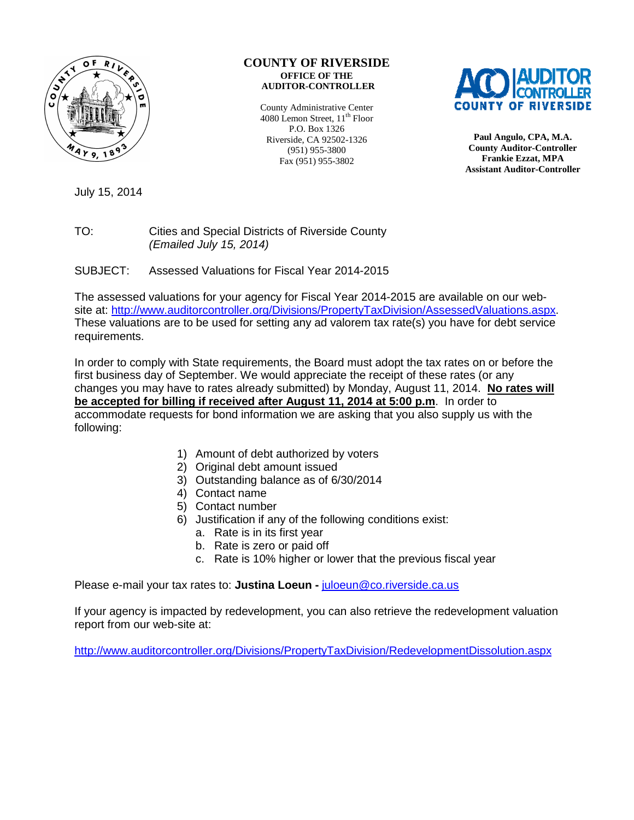

#### **COUNTY OF RIVERSIDE OFFICE OF THE AUDITOR-CONTROLLER**

County Administrative Center 4080 Lemon Street, 11<sup>th</sup> Floor P.O. Box 1326 Riverside, CA 92502-1326 (951) 955-3800 Fax (951) 955-3802



**Paul Angulo, CPA, M.A. County Auditor-Controller Frankie Ezzat, MPA Assistant Auditor-Controller** 

July 15, 2014

# TO: Cities and Special Districts of Riverside County (Emailed July 15, 2014)

SUBJECT: Assessed Valuations for Fiscal Year 2014-2015

The assessed valuations for your agency for Fiscal Year 2014-2015 are available on our website at: http://www.auditorcontroller.org/Divisions/PropertyTaxDivision/AssessedValuations.aspx. These valuations are to be used for setting any ad valorem tax rate(s) you have for debt service requirements.

In order to comply with State requirements, the Board must adopt the tax rates on or before the first business day of September. We would appreciate the receipt of these rates (or any changes you may have to rates already submitted) by Monday, August 11, 2014. **No rates will be accepted for billing if received after August 11, 2014 at 5:00 p.m**. In order to accommodate requests for bond information we are asking that you also supply us with the following:

- 1) Amount of debt authorized by voters
- 2) Original debt amount issued
- 3) Outstanding balance as of 6/30/2014
- 4) Contact name
- 5) Contact number
- 6) Justification if any of the following conditions exist:
	- a. Rate is in its first year
	- b. Rate is zero or paid off
	- c. Rate is 10% higher or lower that the previous fiscal year

Please e-mail your tax rates to: **Justina Loeun -** juloeun@co.riverside.ca.us

If your agency is impacted by redevelopment, you can also retrieve the redevelopment valuation report from our web-site at:

http://www.auditorcontroller.org/Divisions/PropertyTaxDivision/RedevelopmentDissolution.aspx